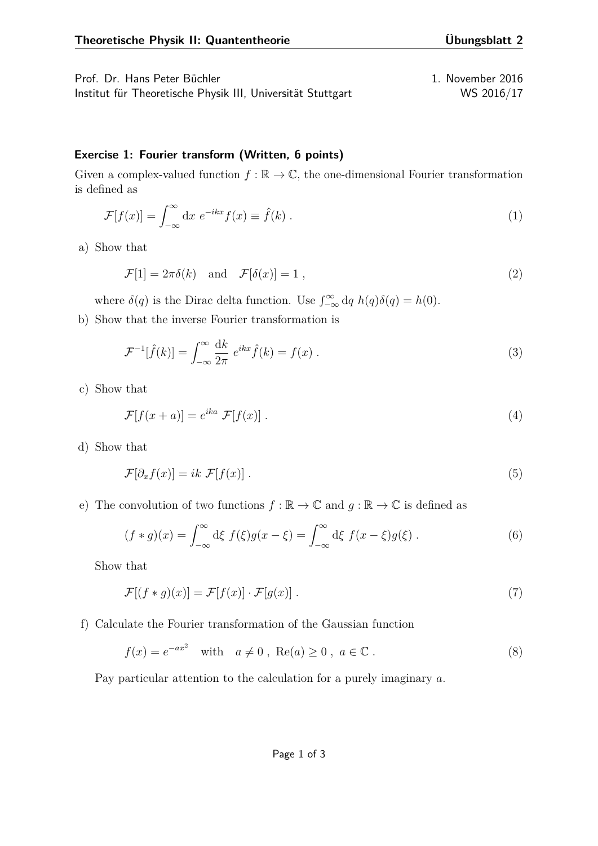Prof. Dr. Hans Peter Büchler 1. November 2016 Institut für Theoretische Physik III, Universität Stuttgart WS 2016/17

## **Exercise 1: Fourier transform (Written, 6 points)**

Given a complex-valued function  $f : \mathbb{R} \to \mathbb{C}$ , the one-dimensional Fourier transformation is defined as

$$
\mathcal{F}[f(x)] = \int_{-\infty}^{\infty} dx \ e^{-ikx} f(x) \equiv \hat{f}(k) . \tag{1}
$$

a) Show that

$$
\mathcal{F}[1] = 2\pi\delta(k) \quad \text{and} \quad \mathcal{F}[\delta(x)] = 1 \tag{2}
$$

where  $\delta(q)$  is the Dirac delta function. Use  $\int_{-\infty}^{\infty} dq h(q)\delta(q) = h(0)$ .

b) Show that the inverse Fourier transformation is

$$
\mathcal{F}^{-1}[\hat{f}(k)] = \int_{-\infty}^{\infty} \frac{\mathrm{d}k}{2\pi} e^{ikx} \hat{f}(k) = f(x) . \tag{3}
$$

c) Show that

$$
\mathcal{F}[f(x+a)] = e^{ika} \mathcal{F}[f(x)]. \qquad (4)
$$

d) Show that

$$
\mathcal{F}[\partial_x f(x)] = ik \mathcal{F}[f(x)] \ . \tag{5}
$$

e) The convolution of two functions  $f : \mathbb{R} \to \mathbb{C}$  and  $g : \mathbb{R} \to \mathbb{C}$  is defined as

$$
(f * g)(x) = \int_{-\infty}^{\infty} d\xi f(\xi)g(x - \xi) = \int_{-\infty}^{\infty} d\xi f(x - \xi)g(\xi).
$$
 (6)

Show that

$$
\mathcal{F}[(f * g)(x)] = \mathcal{F}[f(x)] \cdot \mathcal{F}[g(x)].
$$
\n(7)

f) Calculate the Fourier transformation of the Gaussian function

$$
f(x) = e^{-ax^2}
$$
 with  $a \neq 0$ , Re(a)  $\geq 0$ ,  $a \in \mathbb{C}$ . (8)

Pay particular attention to the calculation for a purely imaginary *a*.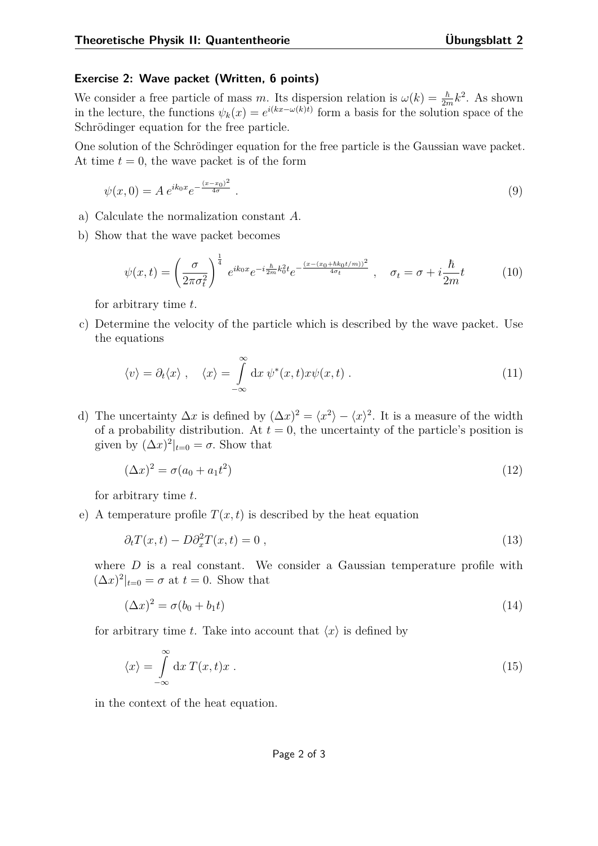## **Exercise 2: Wave packet (Written, 6 points)**

We consider a free particle of mass *m*. Its dispersion relation is  $\omega(k) = \frac{\hbar}{2m}k^2$ . As shown in the lecture, the functions  $\psi_k(x) = e^{i(kx - \omega(k)t)}$  form a basis for the solution space of the Schrödinger equation for the free particle.

One solution of the Schrödinger equation for the free particle is the Gaussian wave packet. At time  $t = 0$ , the wave packet is of the form

$$
\psi(x,0) = A e^{ik_0 x} e^{-\frac{(x-x_0)^2}{4\sigma}}.
$$
\n(9)

- a) Calculate the normalization constant *A*.
- b) Show that the wave packet becomes

$$
\psi(x,t) = \left(\frac{\sigma}{2\pi\sigma_t^2}\right)^{\frac{1}{4}} e^{ik_0x} e^{-i\frac{\hbar}{2m}k_0^2 t} e^{-\frac{(x-(x_0+\hbar k_0t/m))^2}{4\sigma_t}}, \quad \sigma_t = \sigma + i\frac{\hbar}{2m}t \tag{10}
$$

for arbitrary time *t*.

c) Determine the velocity of the particle which is described by the wave packet. Use the equations

$$
\langle v \rangle = \partial_t \langle x \rangle \,, \quad \langle x \rangle = \int_{-\infty}^{\infty} dx \, \psi^*(x, t) x \psi(x, t) \,.
$$
 (11)

d) The uncertainty  $\Delta x$  is defined by  $(\Delta x)^2 = \langle x^2 \rangle - \langle x \rangle^2$ . It is a measure of the width of a probability distribution. At  $t = 0$ , the uncertainty of the particle's position is given by  $(\Delta x)^2|_{t=0} = \sigma$ . Show that

<span id="page-1-1"></span>
$$
(\Delta x)^2 = \sigma(a_0 + a_1 t^2) \tag{12}
$$

for arbitrary time *t*.

e) A temperature profile  $T(x,t)$  is described by the heat equation

$$
\partial_t T(x,t) - D \partial_x^2 T(x,t) = 0 , \qquad (13)
$$

where *D* is a real constant. We consider a Gaussian temperature profile with  $(\Delta x)^2|_{t=0} = \sigma$  at  $t=0$ . Show that

<span id="page-1-0"></span>
$$
(\Delta x)^2 = \sigma(b_0 + b_1 t) \tag{14}
$$

for arbitrary time *t*. Take into account that  $\langle x \rangle$  is defined by

$$
\langle x \rangle = \int_{-\infty}^{\infty} dx \, T(x, t)x \,. \tag{15}
$$

in the context of the heat equation.